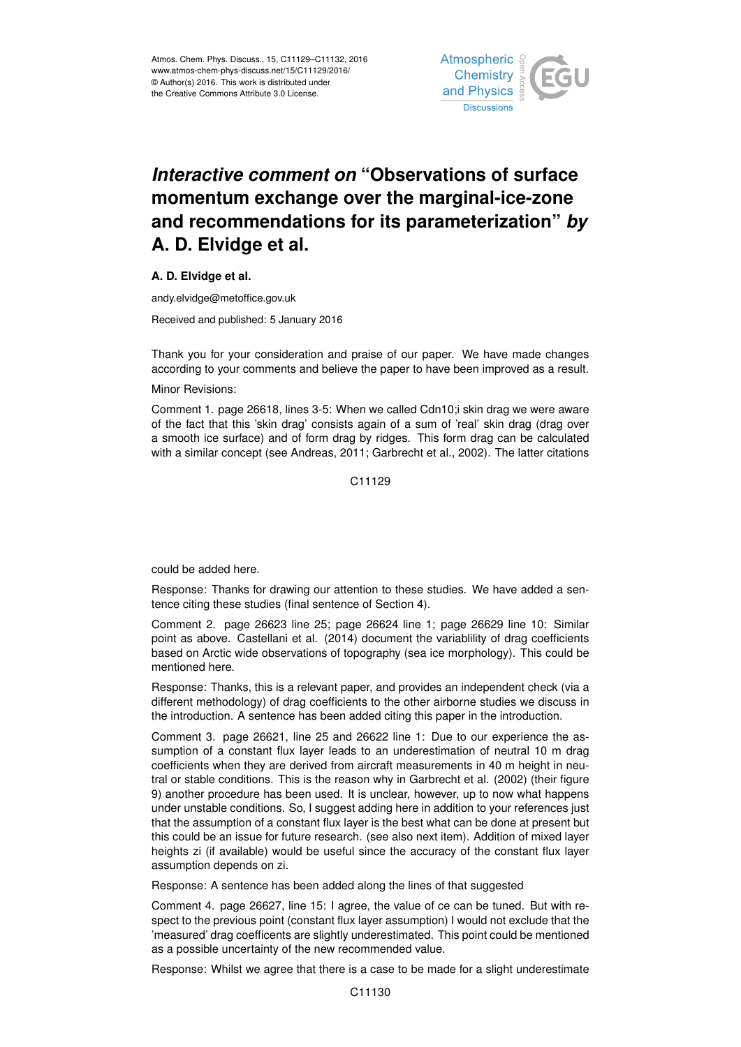

## *Interactive comment on* **"Observations of surface momentum exchange over the marginal-ice-zone and recommendations for its parameterization"** *by* **A. D. Elvidge et al.**

## **A. D. Elvidge et al.**

andy.elvidge@metoffice.gov.uk

Received and published: 5 January 2016

Thank you for your consideration and praise of our paper. We have made changes according to your comments and believe the paper to have been improved as a result.

## Minor Revisions:

Comment 1. page 26618, lines 3-5: When we called Cdn10;i skin drag we were aware of the fact that this 'skin drag' consists again of a sum of 'real' skin drag (drag over a smooth ice surface) and of form drag by ridges. This form drag can be calculated with a similar concept (see Andreas, 2011; Garbrecht et al., 2002). The latter citations

C11129

could be added here.

Response: Thanks for drawing our attention to these studies. We have added a sentence citing these studies (final sentence of Section 4).

Comment 2. page 26623 line 25; page 26624 line 1; page 26629 line 10: Similar point as above. Castellani et al. (2014) document the variablility of drag coefficients based on Arctic wide observations of topography (sea ice morphology). This could be mentioned here.

Response: Thanks, this is a relevant paper, and provides an independent check (via a different methodology) of drag coefficients to the other airborne studies we discuss in the introduction. A sentence has been added citing this paper in the introduction.

Comment 3. page 26621, line 25 and 26622 line 1: Due to our experience the assumption of a constant flux layer leads to an underestimation of neutral 10 m drag coefficients when they are derived from aircraft measurements in 40 m height in neutral or stable conditions. This is the reason why in Garbrecht et al. (2002) (their figure 9) another procedure has been used. It is unclear, however, up to now what happens under unstable conditions. So, I suggest adding here in addition to your references just that the assumption of a constant flux layer is the best what can be done at present but this could be an issue for future research. (see also next item). Addition of mixed layer heights zi (if available) would be useful since the accuracy of the constant flux layer assumption depends on zi.

Response: A sentence has been added along the lines of that suggested

Comment 4. page 26627, line 15: I agree, the value of ce can be tuned. But with respect to the previous point (constant flux layer assumption) I would not exclude that the 'measured' drag coefficents are slightly underestimated. This point could be mentioned as a possible uncertainty of the new recommended value.

Response: Whilst we agree that there is a case to be made for a slight underestimate